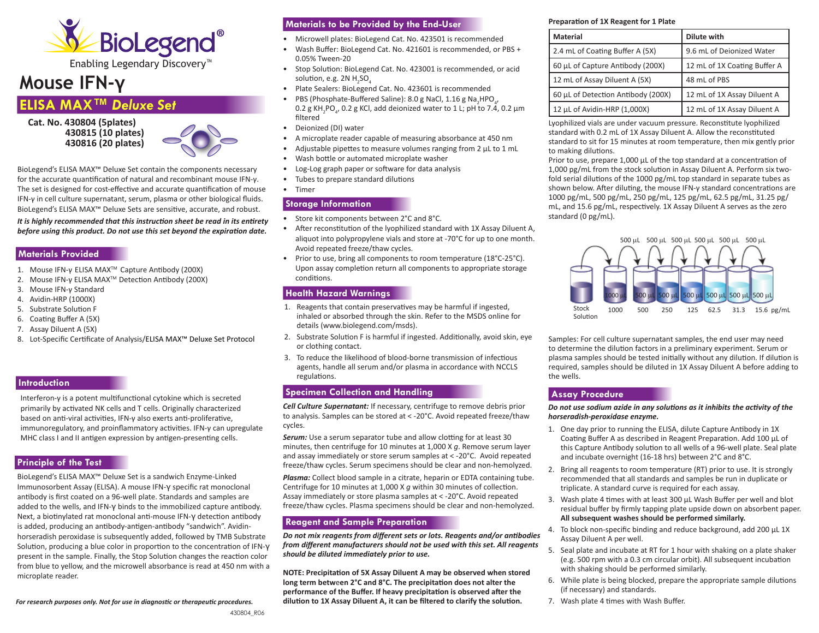

# **Mouse IFN-γ**

## **ELISA MAX™** *Deluxe Set*

**Cat. No. 430804 (5plates) 430815 (10 plates) 430816 (20 plates)**



BioLegend's ELISA MAX™ Deluxe Set contain the components necessary for the accurate quantification of natural and recombinant mouse IFN-γ. The set is designed for cost-effective and accurate quantification of mouse IFN-γ in cell culture supernatant, serum, plasma or other biological fluids. BioLegend's ELISA MAX™ Deluxe Sets are sensitive, accurate, and robust.

*It is highly recommended that this instruction sheet be read in its entirety before using this product. Do not use this set beyond the expiration date.*

#### **Materials Provided**

- 1. Mouse IFN-γ ELISA MAXTM Capture Antibody (200X)
- 2. Mouse IFN-γ ELISA MAXTM Detection Antibody (200X)
- 3. Mouse IFN-γ Standard
- 4. Avidin-HRP (1000X)
- 5. Substrate Solution F
- 6. Coating Buffer A (5X)
- 7. Assay Diluent A (5X)
- 8. Lot-Specific Certificate of Analysis/ELISA MAX™ Deluxe Set Protocol

## **Introduction**

Interferon-γ is a potent multifunctional cytokine which is secreted primarily by activated NK cells and T cells. Originally characterized based on anti-viral activities, IFN-γ also exerts anti-proliferative, immunoregulatory, and proinflammatory activities. IFN-γ can upregulate MHC class I and II antigen expression by antigen-presenting cells.

## **Principle of the Test**

BioLegend's ELISA MAX™ Deluxe Set is a sandwich Enzyme-Linked Immunosorbent Assay (ELISA). A mouse IFN-γ specific rat monoclonal antibody is first coated on a 96-well plate. Standards and samples are added to the wells, and IFN-γ binds to the immobilized capture antibody. Next, a biotinylated rat monoclonal anti-mouse IFN-γ detection antibody is added, producing an antibody-antigen-antibody "sandwich". Avidinhorseradish peroxidase is subsequently added, followed by TMB Substrate Solution, producing a blue color in proportion to the concentration of IFN-γ present in the sample. Finally, the Stop Solution changes the reaction color from blue to yellow, and the microwell absorbance is read at 450 nm with a microplate reader.

*For research purposes only. Not for use in diagnostic or therapeutic procedures.*

## **Materials to be Provided by the End-User**

- Microwell plates: BioLegend Cat. No. 423501 is recommended
- Wash Buffer: BioLegend Cat. No. 421601 is recommended, or PBS + 0.05% Tween-20
- Stop Solution: BioLegend Cat. No. 423001 is recommended, or acid solution, e.g. 2N  $H_2$ SO $_4$
- Plate Sealers: BioLegend Cat. No. 423601 is recommended
- PBS (Phosphate-Buffered Saline): 8.0 g NaCl, 1.16 g Na<sub>2</sub>HPO<sub>4</sub>,  $0.2$  g KH<sub>2</sub>PO<sub>4</sub>, 0.2 g KCl, add deionized water to 1 L; pH to 7.4, 0.2 μm filtered
- Deionized (DI) water
- A microplate reader capable of measuring absorbance at 450 nm
- Adjustable pipettes to measure volumes ranging from 2 μL to 1 mL
- Wash bottle or automated microplate washer
- Log-Log graph paper or software for data analysis
- Tubes to prepare standard dilutions
- Timer

## **Storage Information**

- Store kit components between 2°C and 8°C.
- After reconstitution of the lyophilized standard with 1X Assay Diluent A, aliquot into polypropylene vials and store at -70°C for up to one month. Avoid repeated freeze/thaw cycles.
- Prior to use, bring all components to room temperature (18°C-25°C). Upon assay completion return all components to appropriate storage conditions.

### **Health Hazard Warnings**

- 1. Reagents that contain preservatives may be harmful if ingested, inhaled or absorbed through the skin. Refer to the MSDS online for details (www.biolegend.com/msds).
- 2. Substrate Solution F is harmful if ingested. Additionally, avoid skin, eye or clothing contact.
- 3. To reduce the likelihood of blood-borne transmission of infectious agents, handle all serum and/or plasma in accordance with NCCLS regulations.

## **Specimen Collection and Handling**

*Cell Culture Supernatant:* If necessary, centrifuge to remove debris prior to analysis. Samples can be stored at < -20°C. Avoid repeated freeze/thaw cycles.

**Serum:** Use a serum separator tube and allow clotting for at least 30 minutes, then centrifuge for 10 minutes at 1,000 X *g*. Remove serum layer and assay immediately or store serum samples at < -20°C. Avoid repeated freeze/thaw cycles. Serum specimens should be clear and non-hemolyzed.

*Plasma:* Collect blood sample in a citrate, heparin or EDTA containing tube. Centrifuge for 10 minutes at 1,000 X *g* within 30 minutes of collection. Assay immediately or store plasma samples at < -20°C. Avoid repeated freeze/thaw cycles. Plasma specimens should be clear and non-hemolyzed.

## **Reagent and Sample Preparation**

*Do not mix reagents from different sets or lots. Reagents and/or antibodies from different manufacturers should not be used with this set. All reagents should be diluted immediately prior to use.*

**NOTE: Precipitation of 5X Assay Diluent A may be observed when stored long term betw**e**en 2°C and 8°C. The precipitation does not alter the performance of the Buffer. If heavy precipitation is observed after the dilution to 1X Assay Diluent A, it can be filtered to clarify the solution.**

#### **Preparation of 1X Reagent for 1 Plate**

| <b>Material</b>                    | Dilute with                  |
|------------------------------------|------------------------------|
| 2.4 mL of Coating Buffer A (5X)    | 9.6 mL of Deionized Water    |
| 60 µL of Capture Antibody (200X)   | 12 mL of 1X Coating Buffer A |
| 12 mL of Assay Diluent A (5X)      | 48 mL of PBS                 |
| 60 µL of Detection Antibody (200X) | 12 mL of 1X Assay Diluent A  |
| 12 µL of Avidin-HRP (1,000X)       | 12 mL of 1X Assay Diluent A  |

Lyophilized vials are under vacuum pressure. Reconstitute lyophilized standard with 0.2 mL of 1X Assay Diluent A. Allow the reconstituted standard to sit for 15 minutes at room temperature, then mix gently prior to making dilutions.

Prior to use, prepare 1,000 μL of the top standard at a concentration of 1,000 pg/mL from the stock solution in Assay Diluent A. Perform six twofold serial dilutions of the 1000 pg/mL top standard in separate tubes as shown below. After diluting, the mouse IFN-γ standard concentrations are 1000 pg/mL, 500 pg/mL, 250 pg/mL, 125 pg/mL, 62.5 pg/mL, 31.25 pg/ mL, and 15.6 pg/mL, respectively. 1X Assay Diluent A serves as the zero standard (0 pg/mL).



Samples: For cell culture supernatant samples, the end user may need to determine the dilution factors in a preliminary experiment. Serum or plasma samples should be tested initially without any dilution. If dilution is required, samples should be diluted in 1X Assay Diluent A before adding to the wells.

## **Assay Procedure**

*Do not use sodium azide in any solutions as it inhibits the activity of the horseradish-peroxidase enzyme.* 

- 1. One day prior to running the ELISA, dilute Capture Antibody in 1X Coating Buffer A as described in Reagent Preparation. Add 100 μL of this Capture Antibody solution to all wells of a 96-well plate. Seal plate and incubate overnight (16-18 hrs) between 2°C and 8°C.
- 2. Bring all reagents to room temperature (RT) prior to use. It is strongly recommended that all standards and samples be run in duplicate or triplicate. A standard curve is required for each assay.
- 3. Wash plate 4 times with at least 300 μL Wash Buffer per well and blot residual buffer by firmly tapping plate upside down on absorbent paper. **All subsequent washes should be performed similarly.**
- 4. To block non-specific binding and reduce background, add 200 μL 1X Assay Diluent A per well.
- 5. Seal plate and incubate at RT for 1 hour with shaking on a plate shaker (e.g. 500 rpm with a 0.3 cm circular orbit). All subsequent incubation with shaking should be performed similarly.
- 6. While plate is being blocked, prepare the appropriate sample dilutions (if necessary) and standards.
- 7. Wash plate 4 times with Wash Buffer.